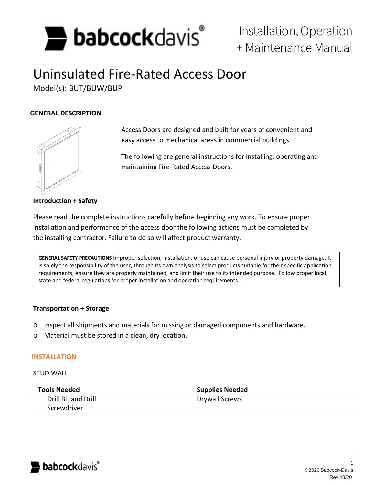

# Installation, Operation + Maintenance Manual

# Uninsulated Fire-Rated Access Door

Model(s): BUT/BUW/BUP

### **GENERAL DESCRIPTION**



Access Doors are designed and built for years of convenient and easy access to mechanical areas in commercial buildings.

The following are general instructions for installing, operating and maintaining Fire-Rated Access Doors.

**Introduction + Safety**

Please read the complete instructions carefully before beginning any work. To ensure proper installation and performance of the access door the following actions must be completed by the installing contractor. Failure to do so will affect product warranty.

**GENERAL SAFETY PRECAUTIONS** Improper selection, installation, or use can cause personal injury or property damage. It is solely the responsibility of the user, through its own analysis to select products suitable for their specific application requirements, ensure they are properly maintained, and limit their use to its intended purpose. Follow proper local, state and federal regulations for proper installation and operation requirements.

### **Transportation + Storage**

- o Inspect all shipments and materials for missing or damaged components and hardware.
- o Material must be stored in a clean, dry location.

#### **INSTALLATION**

#### STUD WALL

| <b>Tools Needed</b> | <b>Supplies Needed</b> |
|---------------------|------------------------|
| Drill Bit and Drill | Drywall Screws         |
| Screwdriver         |                        |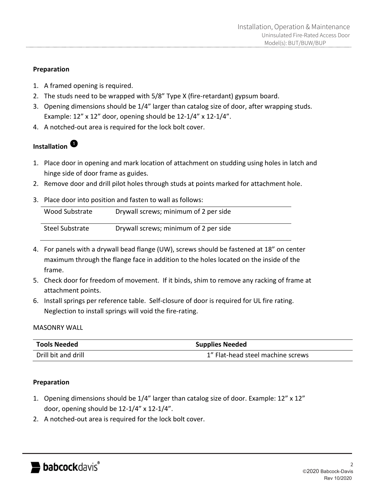# **Preparation**

- 1. A framed opening is required.
- 2. The studs need to be wrapped with 5/8" Type X (fire-retardant) gypsum board.
- 3. Opening dimensions should be 1/4" larger than catalog size of door, after wrapping studs. Example: 12" x 12" door, opening should be 12-1/4" x 12-1/4".
- 4. A notched-out area is required for the lock bolt cover.

# **Installation**

- 1. Place door in opening and mark location of attachment on studding using holes in latch and hinge side of door frame as guides.
- 2. Remove door and drill pilot holes through studs at points marked for attachment hole.
- 3. Place door into position and fasten to wall as follows:

| Wood Substrate  | Drywall screws; minimum of 2 per side |
|-----------------|---------------------------------------|
| Steel Substrate | Drywall screws; minimum of 2 per side |

- 4. For panels with a drywall bead flange (UW), screws should be fastened at 18" on center maximum through the flange face in addition to the holes located on the inside of the frame.
- 5. Check door for freedom of movement. If it binds, shim to remove any racking of frame at attachment points.
- 6. Install springs per reference table. Self-closure of door is required for UL fire rating. Neglection to install springs will void the fire-rating.

# MASONRY WALL

| <b>Tools Needed</b> | <b>Supplies Needed</b>            |  |
|---------------------|-----------------------------------|--|
| Drill bit and drill | 1" Flat-head steel machine screws |  |

# **Preparation**

- 1. Opening dimensions should be 1/4" larger than catalog size of door. Example: 12" x 12" door, opening should be 12-1/4" x 12-1/4".
- 2. A notched-out area is required for the lock bolt cover.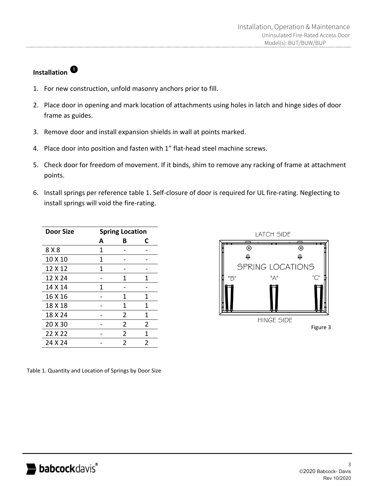# **Installation**

- 1. For new construction, unfold masonry anchors prior to fill.
- 2. Place door in opening and mark location of attachments using holes in latch and hinge sides of door frame as guides.
- 3. Remove door and install expansion shields in wall at points marked.
- 4. Place door into position and fasten with 1" flat-head steel machine screws.
- 5. Check door for freedom of movement. If it binds, shim to remove any racking of frame at attachment points.
- 6. Install springs per reference table 1. Self-closure of door is required for UL fire-rating. Neglecting to install springs will void the fire-rating.

| <b>Door Size</b> | <b>Spring Location</b> |                |                |
|------------------|------------------------|----------------|----------------|
|                  | A                      | в              | C              |
| 8 X 8            | 1                      |                |                |
| 10 X 10          | 1                      |                |                |
| 12 X 12          | 1                      |                |                |
| 12 X 24          |                        | 1              | 1              |
| 14 X 14          | 1                      |                |                |
| 16 X 16          |                        | 1              | 1              |
| 18 X 18          |                        | 1              | 1              |
| 18 X 24          |                        | 2              | 1              |
| 20 X 30          |                        | 2              | $\overline{2}$ |
| 22 X 22          |                        | $\overline{2}$ | 1              |
| 24 X 24          |                        | 2              | 2              |

Table 1. Quantity and Location of Springs by Door Size